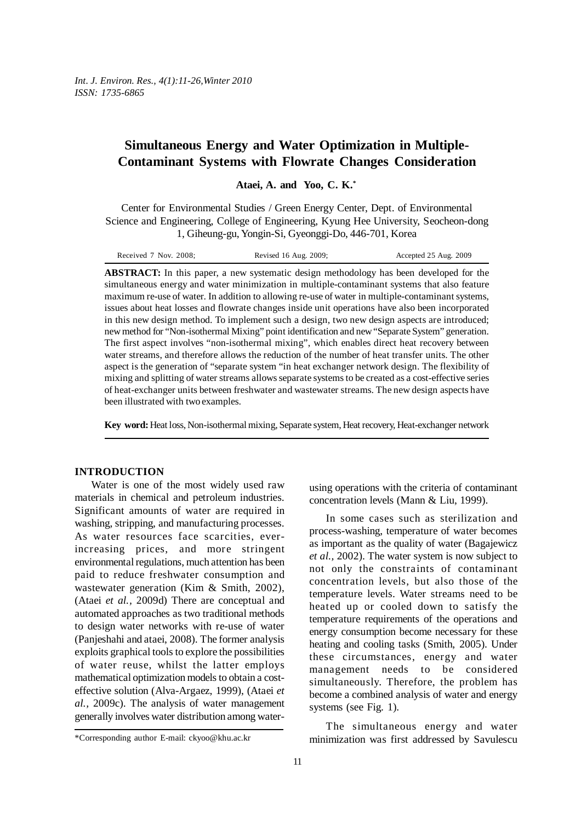# **Simultaneous Energy and Water Optimization in Multiple-Contaminant Systems with Flowrate Changes Consideration**

**Ataei, A. and Yoo, C. K.\***

Center for Environmental Studies / Green Energy Center, Dept. of Environmental Science and Engineering, College of Engineering, Kyung Hee University, Seocheon-dong 1, Giheung-gu, Yongin-Si, Gyeonggi-Do, 446-701, Korea

| Received 7 Nov. 2008; | Revised 16 Aug. 2009; | Accepted 25 Aug. 2009 |
|-----------------------|-----------------------|-----------------------|
|-----------------------|-----------------------|-----------------------|

**ABSTRACT:** In this paper, a new systematic design methodology has been developed for the simultaneous energy and water minimization in multiple-contaminant systems that also feature maximum re-use of water. In addition to allowing re-use of water in multiple-contaminant systems, issues about heat losses and flowrate changes inside unit operations have also been incorporated in this new design method. To implement such a design, two new design aspects are introduced; new method for "Non-isothermal Mixing" point identification and new "Separate System" generation. The first aspect involves "non-isothermal mixing", which enables direct heat recovery between water streams, and therefore allows the reduction of the number of heat transfer units. The other aspect is the generation of "separate system "in heat exchanger network design. The flexibility of mixing and splitting of water streams allows separate systems to be created as a cost-effective series of heat-exchanger units between freshwater and wastewater streams. The new design aspects have been illustrated with two examples.

**Key word:** Heat loss, Non-isothermal mixing, Separate system, Heat recovery, Heat-exchanger network

### **INTRODUCTION**

Water is one of the most widely used raw materials in chemical and petroleum industries. Significant amounts of water are required in washing, stripping, and manufacturing processes. As water resources face scarcities, everincreasing prices, and more stringent environmental regulations, much attention has been paid to reduce freshwater consumption and wastewater generation (Kim & Smith, 2002), (Ataei *et al.,* 2009d) There are conceptual and automated approaches as two traditional methods to design water networks with re-use of water (Panjeshahi and ataei, 2008). The former analysis exploits graphical tools to explore the possibilities of water reuse, whilst the latter employs mathematical optimization models to obtain a costeffective solution (Alva-Argaez, 1999), (Ataei *et al.,* 2009c). The analysis of water management generally involves water distribution among water-

using operations with the criteria of contaminant concentration levels (Mann & Liu, 1999).

In some cases such as sterilization and process-washing, temperature of water becomes as important as the quality of water (Bagajewicz *et al.,* 2002). The water system is now subject to not only the constraints of contaminant concentration levels, but also those of the temperature levels. Water streams need to be heated up or cooled down to satisfy the temperature requirements of the operations and energy consumption become necessary for these heating and cooling tasks (Smith, 2005). Under these circumstances, energy and water management needs to be considered simultaneously. Therefore, the problem has become a combined analysis of water and energy systems (see Fig. 1).

The simultaneous energy and water minimization was first addressed by Savulescu

<sup>\*</sup>Corresponding author E-mail: ckyoo@khu.ac.kr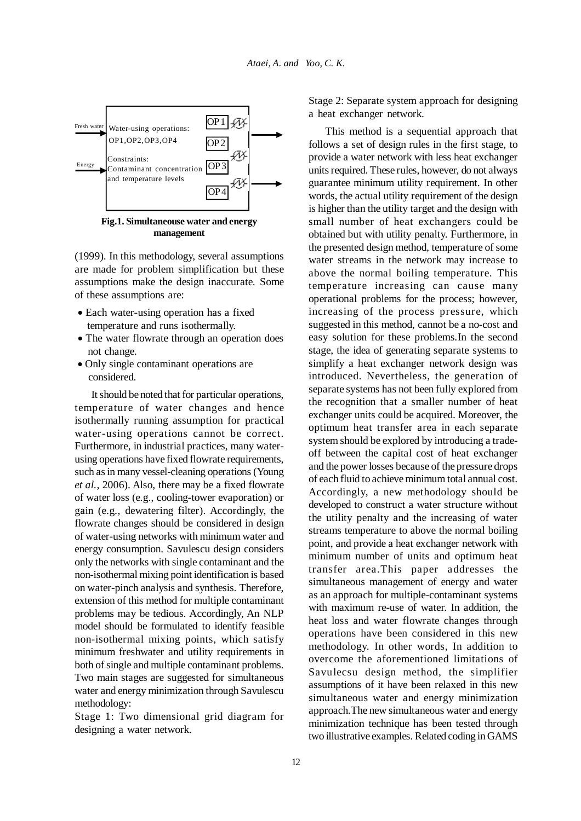

**Fig.1. Simultaneouse water and energy management**

(1999). In this methodology, several assumptions are made for problem simplification but these assumptions make the design inaccurate. Some of these assumptions are:

- Each water-using operation has a fixed temperature and runs isothermally.
- The water flowrate through an operation does not change.
- Only single contaminant operations are considered.

It should be noted that for particular operations, temperature of water changes and hence isothermally running assumption for practical water-using operations cannot be correct. Furthermore, in industrial practices, many waterusing operations have fixed flowrate requirements, such as in many vessel-cleaning operations (Young *et al.,* 2006). Also, there may be a fixed flowrate of water loss (e.g., cooling-tower evaporation) or gain (e.g., dewatering filter). Accordingly, the flowrate changes should be considered in design of water-using networks with minimum water and energy consumption. Savulescu design considers only the networks with single contaminant and the non-isothermal mixing point identification is based on water-pinch analysis and synthesis. Therefore, extension of this method for multiple contaminant problems may be tedious. Accordingly, An NLP model should be formulated to identify feasible non-isothermal mixing points, which satisfy minimum freshwater and utility requirements in both of single and multiple contaminant problems. Two main stages are suggested for simultaneous water and energy minimization through Savulescu methodology:

Stage 1: Two dimensional grid diagram for designing a water network.

Stage 2: Separate system approach for designing a heat exchanger network.

This method is a sequential approach that follows a set of design rules in the first stage, to provide a water network with less heat exchanger units required. These rules, however, do not always guarantee minimum utility requirement. In other words, the actual utility requirement of the design is higher than the utility target and the design with small number of heat exchangers could be obtained but with utility penalty. Furthermore, in the presented design method, temperature of some water streams in the network may increase to above the normal boiling temperature. This temperature increasing can cause many operational problems for the process; however, increasing of the process pressure, which suggested in this method, cannot be a no-cost and easy solution for these problems.In the second stage, the idea of generating separate systems to simplify a heat exchanger network design was introduced. Nevertheless, the generation of separate systems has not been fully explored from the recognition that a smaller number of heat exchanger units could be acquired. Moreover, the optimum heat transfer area in each separate system should be explored by introducing a tradeoff between the capital cost of heat exchanger and the power losses because of the pressure drops of each fluid to achieve minimum total annual cost. Accordingly, a new methodology should be developed to construct a water structure without the utility penalty and the increasing of water streams temperature to above the normal boiling point, and provide a heat exchanger network with minimum number of units and optimum heat transfer area.This paper addresses the simultaneous management of energy and water as an approach for multiple-contaminant systems with maximum re-use of water. In addition, the heat loss and water flowrate changes through operations have been considered in this new methodology. In other words, In addition to overcome the aforementioned limitations of Savulecsu design method, the simplifier assumptions of it have been relaxed in this new simultaneous water and energy minimization approach.The new simultaneous water and energy minimization technique has been tested through two illustrative examples. Related coding in GAMS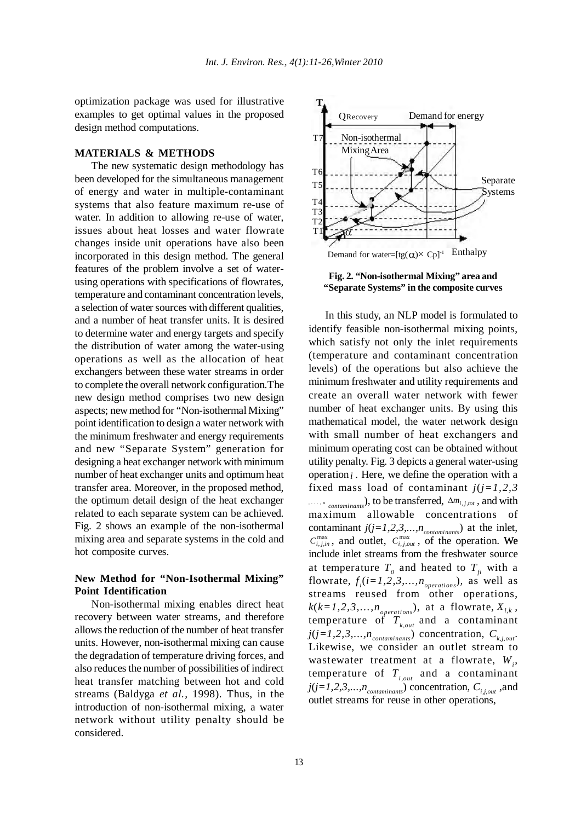optimization package was used for illustrative examples to get optimal values in the proposed design method computations.

#### **MATERIALS & METHODS**

The new systematic design methodology has been developed for the simultaneous management of energy and water in multiple-contaminant systems that also feature maximum re-use of water. In addition to allowing re-use of water, issues about heat losses and water flowrate changes inside unit operations have also been incorporated in this design method. The general features of the problem involve a set of waterusing operations with specifications of flowrates, temperature and contaminant concentration levels, a selection of water sources with different qualities, and a number of heat transfer units. It is desired to determine water and energy targets and specify the distribution of water among the water-using operations as well as the allocation of heat exchangers between these water streams in order to complete the overall network configuration.The new design method comprises two new design aspects; new method for "Non-isothermal Mixing" point identification to design a water network with the minimum freshwater and energy requirements and new "Separate System" generation for designing a heat exchanger network with minimum number of heat exchanger units and optimum heat transfer area. Moreover, in the proposed method, the optimum detail design of the heat exchanger related to each separate system can be achieved. Fig. 2 shows an example of the non-isothermal mixing area and separate systems in the cold and hot composite curves.

# **New Method for "Non-Isothermal Mixing" Point Identification**

Non-isothermal mixing enables direct heat recovery between water streams, and therefore allows the reduction of the number of heat transfer units. However, non-isothermal mixing can cause the degradation of temperature driving forces, and also reduces the number of possibilities of indirect heat transfer matching between hot and cold streams (Baldyga *et al.,* 1998). Thus, in the introduction of non-isothermal mixing, a water network without utility penalty should be considered.



**Fig. 2. "Non-isothermal Mixing" area and "Separate Systems" in the composite curves**

In this study, an NLP model is formulated to identify feasible non-isothermal mixing points, which satisfy not only the inlet requirements (temperature and contaminant concentration levels) of the operations but also achieve the minimum freshwater and utility requirements and create an overall water network with fewer number of heat exchanger units. By using this mathematical model, the water network design with small number of heat exchangers and minimum operating cost can be obtained without utility penalty. Fig. 3 depicts a general water-using operation  $i$ . Here, we define the operation with a fixed mass load of contaminant  $j(j=1,2,3)$ **,...,n** *contaminants*), to be transferred, ∆*mi*, *<sup>j</sup>*,*tot* , and with maximum allowable concentrations of contaminant  $j(j=1,2,3,...,n_{contaminants})$  at the inlet,  $C_{i,j,in}^{max}$ , and outlet,  $C_{i,j,out}^{max}$ , of the operation. We include inlet streams from the freshwater source at temperature  $T_0$  and heated to  $T_f$  with a flowrate,  $f_i(i=1,2,3,...,n_{operations})$ , as well as streams reused from other operations,  $k(k=1,2,3,...,n_{operations})$ , at a flowrate,  $X_{i,k}$ , temperature of  $T_{k,out}$  and a contaminant  $j(j=1,2,3,...,n_{contaminants})$  concentration,  $C_{k,i,out}$ . Likewise, we consider an outlet stream to wastewater treatment at a flowrate,  $W_i$ , temperature of  $T_{i,out}$  and a contaminant  $j(j=1,2,3,...,n_{contaminants})$  concentration,  $C_{i,i,out}$ , and outlet streams for reuse in other operations,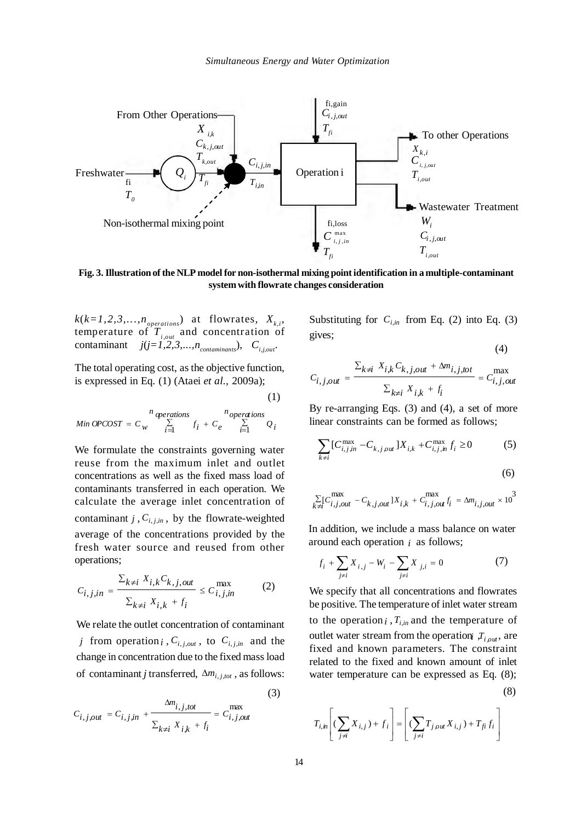

**Fig. 3. Illustration of the NLP model for non-isothermal mixing point identification in a multiple-contaminant system with flowrate changes consideration**

 $k(k=1,2,3,...,n_{operations})$  at flowrates,  $X_{k,i}$ , temperature of *Ti,out* and concentration of contaminant  $j(j=1,2,3,...,n_{\text{contaminants}}), C_{i,j,out}$ .

The total operating cost, as the objective function, is expressed in Eq. (1) (Ataei *et al.,* 2009a);

(1)

$$
Min \; OPCOST = C_w \sum_{i=1}^{n} f_i + C_e \sum_{i=1}^{n} Q_i
$$

We formulate the constraints governing water reuse from the maximum inlet and outlet concentrations as well as the fixed mass load of contaminants transferred in each operation. We calculate the average inlet concentration of contaminant *j*,  $C_{i,j,m}$ , by the flowrate-weighted average of the concentrations provided by the fresh water source and reused from other operations;

$$
C_{i,j,in} = \frac{\sum_{k \neq i} X_{i,k} C_{k,j,out}}{\sum_{k \neq i} X_{i,k} + f_i} \le C_{i,j,in}^{max} \tag{2}
$$

We relate the outlet concentration of contaminant *j* from operation *i*,  $C_{i,j,out}$ , to  $C_{i,j,in}$  and the change in concentration due to the fixed mass load of contaminant *j* transferred, ∆*mi*, *<sup>j</sup>*,*tot* , as follows:

(3)  

$$
C_{i,j,out} = C_{i,j,in} + \frac{\Delta m_{i,j,tot}}{\sum_{k \neq i} X_{i,k} + f_i} = C_{i,j,out}^{\max}
$$

Substituting for  $C_{i,in}$  from Eq. (2) into Eq. (3) gives;

$$
(4)
$$

$$
C_{i,j,out} = \frac{\sum_{k \neq i} X_{i,k} C_{k,j,out} + \Delta m_{i,j,tot}}{\sum_{k \neq i} X_{i,k} + f_i} = C_{i,j,out}^{max}
$$

By re-arranging Eqs. (3) and (4), a set of more linear constraints can be formed as follows;

$$
\sum_{k \neq i} [C_{i,j\,in}^{\max} - C_{k,j\,out}] X_{i,k} + C_{i,j\,in}^{\max} f_i \ge 0 \tag{5}
$$

$$
\sum_{k \neq i} [C_{i,j,out}^{\max} - C_{k,j,out}]X_{i,k} + C_{i,j,out}^{\max} f_i = \Delta m_{i,j,out} \times 10^3
$$

In addition, we include a mass balance on water around each operation *i* as follows;

$$
f_i + \sum_{j \neq i} X_{i,j} - W_i - \sum_{j \neq i} X_{j,i} = 0
$$
 (7)

We specify that all concentrations and flowrates be positive. The temperature of inlet water stream to the operation  $i$ ,  $T_{i,in}$  and the temperature of outlet water stream from the operation  $T_{i, out}$ , are fixed and known parameters. The constraint related to the fixed and known amount of inlet water temperature can be expressed as Eq. (8);

$$
(8)
$$

$$
T_{i,h}\left[ (\sum_{j\neq i} X_{i,j}) + f_i \right] = \left[ (\sum_{j\neq i} T_{j,\rho u} X_{i,j}) + T_{fi} f_i \right]
$$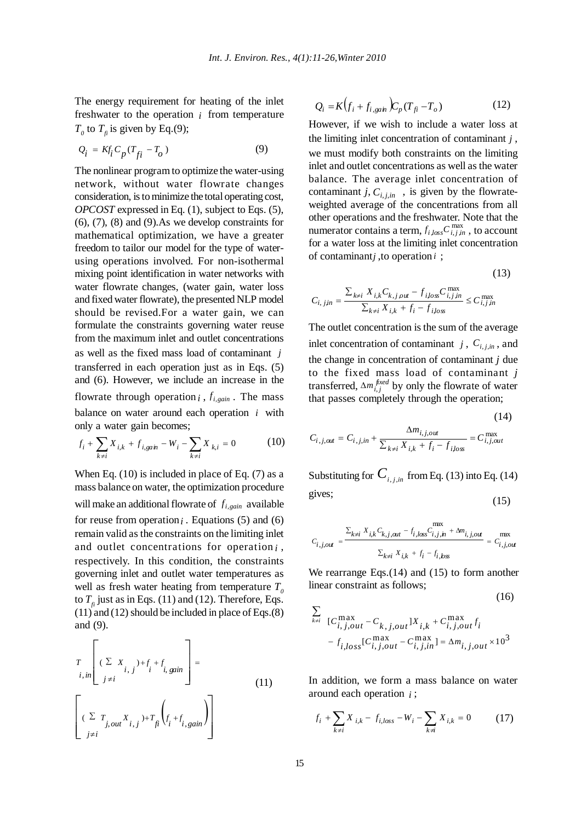The energy requirement for heating of the inlet freshwater to the operation *i* from temperature  $T_0$  to  $T_f$  is given by Eq.(9);

$$
Q_i = Kf_i C_p (T_{fi} - T_o)
$$
\n(9)

The nonlinear program to optimize the water-using network, without water flowrate changes consideration, is to minimize the total operating cost, *OPCOST* expressed in Eq. (1), subject to Eqs. (5), (6), (7), (8) and (9).As we develop constraints for mathematical optimization, we have a greater freedom to tailor our model for the type of waterusing operations involved. For non-isothermal mixing point identification in water networks with water flowrate changes, (water gain, water loss and fixed water flowrate), the presented NLP model should be revised.For a water gain, we can formulate the constraints governing water reuse from the maximum inlet and outlet concentrations as well as the fixed mass load of contaminant *j* transferred in each operation just as in Eqs. (5) and (6). However, we include an increase in the flowrate through operation  $i$ ,  $f_{i, gain}$ . The mass balance on water around each operation  $i$  with only a water gain becomes;

$$
f_i + \sum_{k \neq i} X_{i,k} + f_{i, \text{gain}} - W_i - \sum_{k \neq i} X_{k,i} = 0 \tag{10}
$$

When Eq. (10) is included in place of Eq. (7) as a mass balance on water, the optimization procedure will make an additional flowrate of  $f_{i, gain}$  available for reuse from operation  $i$ . Equations (5) and (6) remain valid as the constraints on the limiting inlet and outlet concentrations for operation *i* , respectively. In this condition, the constraints governing inlet and outlet water temperatures as well as fresh water heating from temperature  $T<sub>0</sub>$ to  $T<sub>f</sub>$  just as in Eqs. (11) and (12). Therefore, Eqs.  $(11)$  and  $(12)$  should be included in place of Eqs. $(8)$ and (9).

$$
\left[\sum_{i, in} \left[ (\sum_{j \neq i} X_{i,j}) + f_{i} + f_{i, gain} \right] \right] =
$$
\n
$$
\left[ (\sum_{j \neq i} T_{j,out} X_{i,j}) + T_{fi} \left( f_{i} + f_{i, gain} \right) \right]
$$
\n(11)

$$
Q_i = K \left( f_i + f_{i, \text{gain}} \right) C_p \left( T_{fi} - T_o \right) \tag{12}
$$

However, if we wish to include a water loss at the limiting inlet concentration of contaminant *j* , we must modify both constraints on the limiting inlet and outlet concentrations as well as the water balance. The average inlet concentration of contaminant *j*,  $C_{i,j,in}$ , is given by the flowrateweighted average of the concentrations from all other operations and the freshwater. Note that the numerator contains a term,  $f_{i, loss} C_{i, j, in}^{\max}$ , to account for a water loss at the limiting inlet concentration of contaminant *j*, to operation  $i$ ;

$$
C_{i, jjn} = \frac{\sum_{k \neq i} X_{i,k} C_{k, j, out} - f_{ij, os} C_{i, j, in}^{\max}}{\sum_{k \neq i} X_{i,k} + f_i - f_{ij, os}} \le C_{i, j, in}^{\max}
$$

(13)

(16)

The outlet concentration is the sum of the average inlet concentration of contaminant  $j$ ,  $C_{i,j,m}$ , and the change in concentration of contaminant *j* due to the fixed mass load of contaminant *j* transferred,  $\Delta m_{i,j}^{fixed}$  by only the flowrate of water that passes completely through the operation;

(14)  

$$
C_{i,j,out} = C_{i,j,in} + \frac{\Delta m_{i,j,out}}{\sum_{k \neq i} X_{i,k} + f_i - f_{ilos}} = C_{i,j,out}^{\max}
$$

Substituting for  $C_{i,i,m}$  from Eq. (13) into Eq. (14) gives; (15)

$$
C_{i,j,out} = \frac{\sum_{k \neq i} X_{i,k} C_{k,j,out} - f_{i,loss} C_{i,j,h}^{\text{max}} + \Delta m_{i,j,out}}{\sum_{k \neq i} X_{i,k} + f_i - f_{i,loss}} = C_{i,j,out}^{\text{max}}
$$

We rearrange Eqs. (14) and (15) to form another linear constraint as follows;

$$
\sum_{k \neq i} [C_{i,j,out}^{max} - C_{k,j,out}]X_{i,k} + C_{i,j,out}^{max} f_i
$$
  
-  $f_{i,loss}[C_{i,j,out}^{max} - C_{i,j,in}^{max}] = \Delta m_{i,j,out} \times 10^3$ 

In addition, we form a mass balance on water around each operation *i* ;

$$
f_i + \sum_{k \neq i} X_{i,k} - f_{i,loss} - W_i - \sum_{k \neq i} X_{i,k} = 0 \tag{17}
$$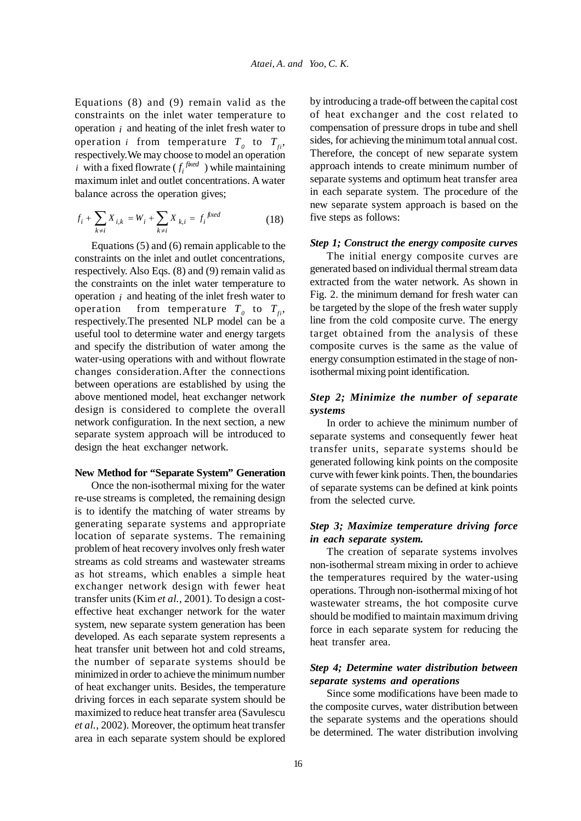Equations (8) and (9) remain valid as the constraints on the inlet water temperature to operation *i* and heating of the inlet fresh water to operation *i* from temperature  $T_{0}$  to  $T_{fi}$ , respectively.We may choose to model an operation *i* with a fixed flowrate  $(f_i^{fixed})$  while maintaining maximum inlet and outlet concentrations. A water balance across the operation gives;

$$
f_i + \sum_{k \neq i} X_{i,k} = W_i + \sum_{k \neq i} X_{k,i} = f_i^{\text{ fixed}}
$$
 (18)

Equations (5) and (6) remain applicable to the constraints on the inlet and outlet concentrations, respectively. Also Eqs. (8) and (9) remain valid as the constraints on the inlet water temperature to operation *i* and heating of the inlet fresh water to operation from temperature  $T_0$  to  $T_{fi}$ , respectively.The presented NLP model can be a useful tool to determine water and energy targets and specify the distribution of water among the water-using operations with and without flowrate changes consideration.After the connections between operations are established by using the above mentioned model, heat exchanger network design is considered to complete the overall network configuration. In the next section, a new separate system approach will be introduced to design the heat exchanger network.

### **New Method for "Separate System" Generation**

Once the non-isothermal mixing for the water re-use streams is completed, the remaining design is to identify the matching of water streams by generating separate systems and appropriate location of separate systems. The remaining problem of heat recovery involves only fresh water streams as cold streams and wastewater streams as hot streams, which enables a simple heat exchanger network design with fewer heat transfer units (Kim *et al.,* 2001). To design a costeffective heat exchanger network for the water system, new separate system generation has been developed. As each separate system represents a heat transfer unit between hot and cold streams, the number of separate systems should be minimized in order to achieve the minimum number of heat exchanger units. Besides, the temperature driving forces in each separate system should be maximized to reduce heat transfer area (Savulescu *et al.,* 2002). Moreover, the optimum heat transfer area in each separate system should be explored by introducing a trade-off between the capital cost of heat exchanger and the cost related to compensation of pressure drops in tube and shell sides, for achieving the minimum total annual cost. Therefore, the concept of new separate system approach intends to create minimum number of separate systems and optimum heat transfer area in each separate system. The procedure of the new separate system approach is based on the five steps as follows:

### *Step 1; Construct the energy composite curves*

The initial energy composite curves are generated based on individual thermal stream data extracted from the water network. As shown in Fig. 2. the minimum demand for fresh water can be targeted by the slope of the fresh water supply line from the cold composite curve. The energy target obtained from the analysis of these composite curves is the same as the value of energy consumption estimated in the stage of nonisothermal mixing point identification.

# *Step 2; Minimize the number of separate systems*

In order to achieve the minimum number of separate systems and consequently fewer heat transfer units, separate systems should be generated following kink points on the composite curve with fewer kink points. Then, the boundaries of separate systems can be defined at kink points from the selected curve.

### *Step 3; Maximize temperature driving force in each separate system.*

The creation of separate systems involves non-isothermal stream mixing in order to achieve the temperatures required by the water-using operations. Through non-isothermal mixing of hot wastewater streams, the hot composite curve should be modified to maintain maximum driving force in each separate system for reducing the heat transfer area.

# *Step 4; Determine water distribution between separate systems and operations*

Since some modifications have been made to the composite curves, water distribution between the separate systems and the operations should be determined. The water distribution involving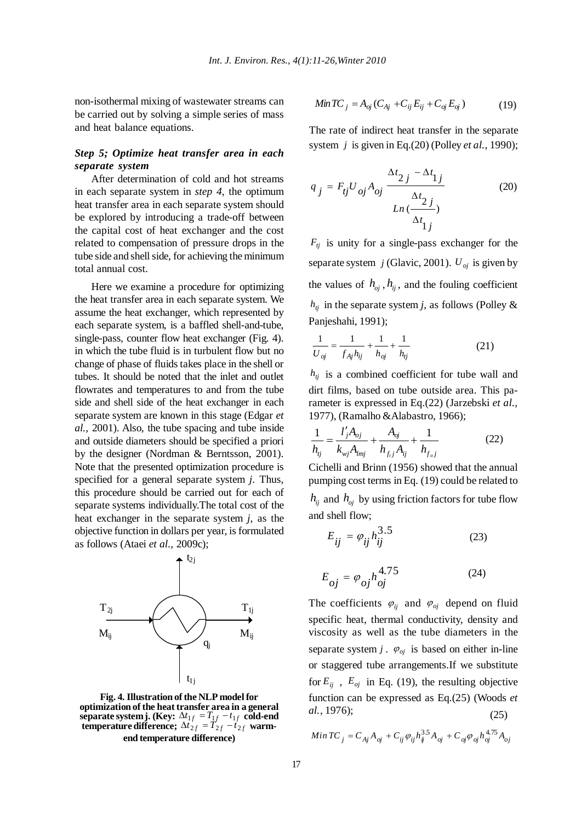non-isothermal mixing of wastewater streams can be carried out by solving a simple series of mass and heat balance equations.

### *Step 5; Optimize heat transfer area in each separate system*

After determination of cold and hot streams in each separate system in *step 4*, the optimum heat transfer area in each separate system should be explored by introducing a trade-off between the capital cost of heat exchanger and the cost related to compensation of pressure drops in the tube side and shell side, for achieving the minimum total annual cost.

Here we examine a procedure for optimizing the heat transfer area in each separate system. We assume the heat exchanger, which represented by each separate system, is a baffled shell-and-tube, single-pass, counter flow heat exchanger (Fig. 4). in which the tube fluid is in turbulent flow but no change of phase of fluids takes place in the shell or tubes. It should be noted that the inlet and outlet flowrates and temperatures to and from the tube side and shell side of the heat exchanger in each separate system are known in this stage (Edgar *et al.,* 2001). Also, the tube spacing and tube inside and outside diameters should be specified a priori by the designer (Nordman & Berntsson, 2001). Note that the presented optimization procedure is specified for a general separate system *j*. Thus, this procedure should be carried out for each of separate systems individually.The total cost of the heat exchanger in the separate system *j*, as the objective function in dollars per year, is formulated as follows (Ataei *et al.,* 2009c);



**Fig. 4. Illustration of the NLP model for optimization of the heat transfer area in a general**  $\mathbf{s}$ eparate system j. (Key:  $\Delta t_{1f} = T_{1f} - t_{1f}$  cold-end **temperature difference;**  $\Delta t_{2f} = T_{2f} - t_{2f}$  warm**end temperature difference)**

$$
MinTC_j = A_{oj}(C_{Aj} + C_{ij}E_{ij} + C_{oj}E_{oj})
$$
\n(19)

The rate of indirect heat transfer in the separate system *j* is given in Eq.(20) (Polley *et al.,* 1990);

$$
q_j = F_{ij} U_{oj} A_{oj} \frac{\Delta t_{2j} - \Delta t_{1j}}{\Delta t_{2j}}
$$
(20)

 $F_{tj}$  is unity for a single-pass exchanger for the separate system  $j$  (Glavic, 2001).  $U_{oj}$  is given by the values of  $h_{oi}$ ,  $h_{ii}$ , and the fouling coefficient  $h_{ij}$  in the separate system *j*, as follows (Polley & Panjeshahi, 1991);

$$
\frac{1}{U_{oj}} = \frac{1}{f_{Aj}h_{ij}} + \frac{1}{h_{oj}} + \frac{1}{h_{ij}}
$$
 (21)

 $h_{tj}$  is a combined coefficient for tube wall and dirt films, based on tube outside area. This parameter is expressed in Eq.(22) (Jarzebski *et al.,* 1977), (Ramalho &Alabastro, 1966);

$$
\frac{1}{h_{ij}} = \frac{l'_j A_{oj}}{k_{wj} A_{lmj}} + \frac{A_{oj}}{h_{f,j} A_{ij}} + \frac{1}{h_{f,j}}
$$
(22)

Cichelli and Brinn (1956) showed that the annual pumping cost terms in Eq. (19) could be related to  $h_{ij}$  and  $h_{oj}$  by using friction factors for tube flow and shell flow;

$$
E_{ij} = \varphi_{ij} h_{ij}^{3.5}
$$
 (23)

$$
E_{oj} = \varphi_{oj} h_{oj}^{4.75}
$$
 (24)

The coefficients  $\varphi_{ij}$  and  $\varphi_{oj}$  depend on fluid specific heat, thermal conductivity, density and viscosity as well as the tube diameters in the separate system  $j$ .  $\varphi_{oj}$  is based on either in-line or staggered tube arrangements.If we substitute for  $E_{ii}$ ,  $E_{oi}$  in Eq. (19), the resulting objective function can be expressed as Eq.(25) (Woods *et al.,* 1976); (25)

$$
Min \, TC_j = C_{Aj} A_{oj} + C_{ij} \, \varphi_{ij} h_{ij}^{3.5} A_{oj} + C_{oj} \varphi_{oj} h_{oj}^{4.75} A_{oj}
$$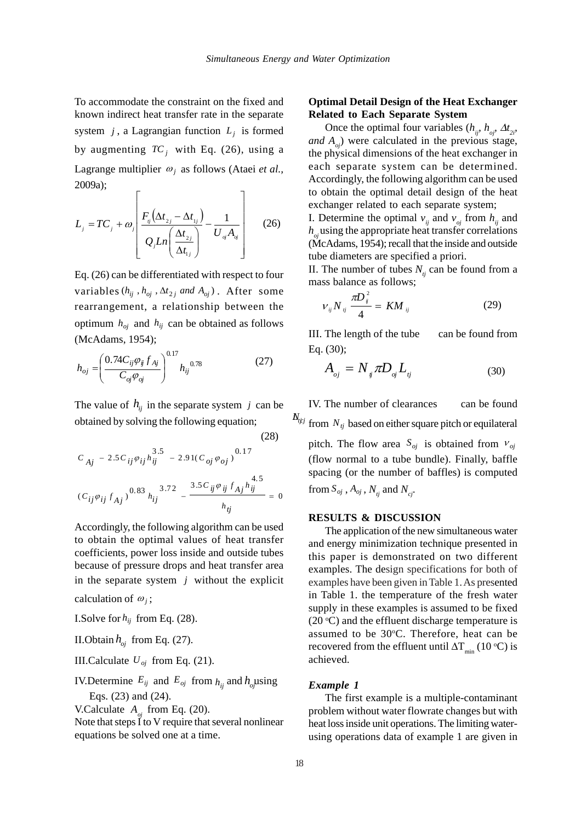To accommodate the constraint on the fixed and known indirect heat transfer rate in the separate system  $j$ , a Lagrangian function  $L_j$  is formed by augmenting  $TC_i$  with Eq. (26), using a Lagrange multiplier  $\omega_i$  as follows (Ataei *et al.*, 2009a);  $\overline{\mathcal{L}}$  $\Gamma$ 

$$
L_j = TC_j + \omega_j \left[ \frac{F_{ij}(\Delta t_{2j} - \Delta t_{1j})}{Q_j Ln\left(\frac{\Delta t_{2j}}{\Delta t_{1j}}\right)} - \frac{1}{U_{oj}A_{oj}} \right]
$$
(26)

Eq. (26) can be differentiated with respect to four variables  $(h_{ii}, h_{oi}, \Delta t_{2i} \text{ and } A_{oi})$ . After some rearrangement, a relationship between the optimum  $h_{oj}$  and  $h_{ij}$  can be obtained as follows (McAdams, 1954);

$$
h_{oj} = \left(\frac{0.74C_{ij}\varphi_{ij}f_{Aj}}{C_{oj}\varphi_{oj}}\right)^{0.17}h_{ij}^{0.78}
$$
 (27)

The value of  $h_{ij}$  in the separate system *j* can be obtained by solving the following equation;

 $(28)$ 

$$
C_{Aj} - 2.5C_{ij}\varphi_{ij}h_{ij}^{3.5} - 2.91(C_{oj}\varphi_{oj})^{0.17}
$$

$$
(C_{ij}\varphi_{ij}f_{Aj})^{0.83}h_{ij}^{3.72} - \frac{3.5C_{ij}\varphi_{ij}f_{Aj}h_{ij}^{4.5}}{h_{ij}} = 0
$$

Accordingly, the following algorithm can be used to obtain the optimal values of heat transfer coefficients, power loss inside and outside tubes because of pressure drops and heat transfer area in the separate system *j* without the explicit calculation of  $\omega_i$ ;

I.Solve for  $h_{ij}$  from Eq. (28).

II.Obtain 
$$
h_{oj}
$$
 from Eq. (27).

III.Calculate  $U_{oj}$  from Eq. (21).

IV. Determine  $E_{ij}$  and  $E_{oj}$  from  $h_{ij}$  and  $h_{oj}$  *lusing* Eqs. (23) and (24).

V.Calculate  $A_{ai}$  from Eq. (20).

Note that steps  $\tilde{I}$  to V require that several nonlinear equations be solved one at a time.

# **Optimal Detail Design of the Heat Exchanger Related to Each Separate System**

Once the optimal four variables  $(h_{i,j}, h_{i,j}, \Delta t_{i,j})$ *and*  $A_{\alpha}$ ) were calculated in the previous stage, the physical dimensions of the heat exchanger in each separate system can be determined. Accordingly, the following algorithm can be used to obtain the optimal detail design of the heat exchanger related to each separate system;

I. Determine the optimal  $v_{ii}$  and  $v_{oi}$  from  $h_{ii}$  and  $h_a$  using the appropriate heat transfer correlations (McAdams, 1954); recall that the inside and outside tube diameters are specified a priori.

II. The number of tubes  $N_{ij}$  can be found from a mass balance as follows;

$$
V_{ij} N_{ij} \frac{\pi D_{ij}^2}{4} = KM_{ij}
$$
 (29)

III. The length of the tube can be found from Eq. (30);

$$
A_{_{oj}} = N_{_{ij}} \pi D_{_{oj}} L_{_{ij}} \tag{30}
$$

 $N_{tij}$  from  $N_{tj}$  based on either square pitch or equilateral IV. The number of clearances can be found

pitch. The flow area  $S_{oj}$  is obtained from  $v_{oj}$ (flow normal to a tube bundle). Finally, baffle spacing (or the number of baffles) is computed from  $S_{oj}$ ,  $A_{oj}$ ,  $N_{ti}$  and  $N_{ci}$ .

### **RESULTS & DISCUSSION**

The application of the new simultaneous water and energy minimization technique presented in this paper is demonstrated on two different examples. The design specifications for both of examples have been given in Table 1. As presented in Table 1. the temperature of the fresh water supply in these examples is assumed to be fixed  $(20 °C)$  and the effluent discharge temperature is assumed to be 30°C. Therefore, heat can be recovered from the effluent until  $\Delta T_{\text{min}}$  (10 °C) is achieved.

#### *Example 1*

The first example is a multiple-contaminant problem without water flowrate changes but with heat loss inside unit operations. The limiting waterusing operations data of example 1 are given in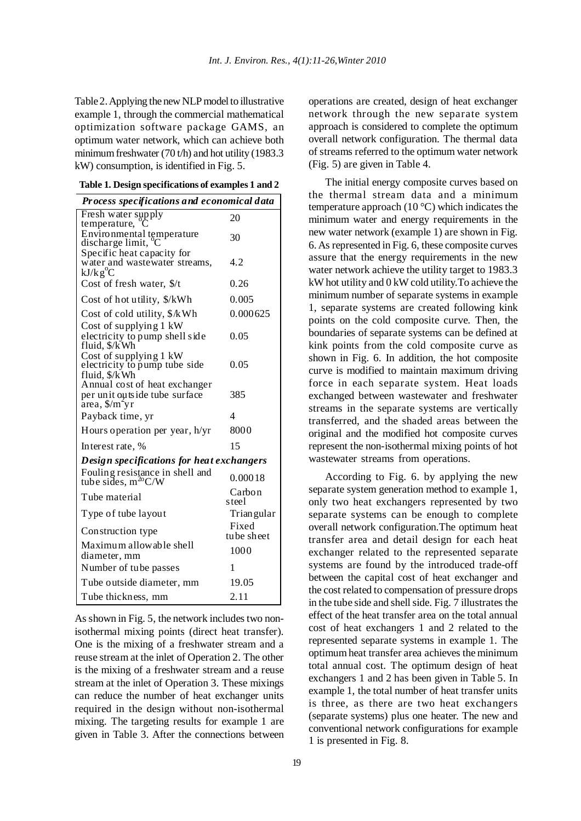Table 2. Applying the new NLP model to illustrative example 1, through the commercial mathematical optimization software package GAMS, an optimum water network, which can achieve both minimum freshwater (70 t/h) and hot utility (1983.3 kW) consumption, is identified in Fig. 5.

**Table 1. Design specifications of examples 1 and 2**

| Process specifications and economical data                                                                         |                     |  |  |  |
|--------------------------------------------------------------------------------------------------------------------|---------------------|--|--|--|
| Fresh water supply<br>temperature,                                                                                 | 20                  |  |  |  |
| Environmental temperature<br>discharge limit, <sup>o</sup> C                                                       | 30                  |  |  |  |
| Specific heat capacity for<br>water and wastewater streams,<br>$kJ/kg^0C$                                          | 4.2                 |  |  |  |
| Cost of fresh water, \$/t                                                                                          | 0.26                |  |  |  |
| Cost of hot utility, \$/kWh                                                                                        | 0.005               |  |  |  |
| Cost of cold utility, \$/kWh                                                                                       | 0.000625            |  |  |  |
| Cost of supplying 1 kW<br>electricity to pump shell side<br>fluid, \$/kWh                                          | 0.05                |  |  |  |
| Cost of supplying 1 kW<br>electricity to pump tube side<br>fluid, \$/kWh                                           | 0.05                |  |  |  |
| Annual cost of heat exchanger<br>per unit outside tube surface<br>$\hat{a}$ rea, $\frac{\pi}{3}$ n <sup>2</sup> yr | 385                 |  |  |  |
| Payback time, yr                                                                                                   | 4                   |  |  |  |
| Hours operation per year, h/yr                                                                                     | 8000                |  |  |  |
| Interest rate, %                                                                                                   | 15                  |  |  |  |
| Design specifications for heat exchangers                                                                          |                     |  |  |  |
| Fouling resistance in shell and<br>tube sides, $m^{20}C/W$                                                         | 0.00018             |  |  |  |
| Tube material                                                                                                      | Carbon<br>s teel    |  |  |  |
| Type of tube layout                                                                                                | <b>Trian</b> gular  |  |  |  |
| Construction type                                                                                                  | Fixed<br>tube sheet |  |  |  |
| Maximum allowable shell<br>diameter, mm                                                                            | 1000                |  |  |  |
| Number of tube passes                                                                                              | 1                   |  |  |  |
| Tube outside diameter, mm                                                                                          | 19.05               |  |  |  |
| Tube thickness, mm                                                                                                 | 2.11                |  |  |  |

As shown in Fig. 5, the network includes two nonisothermal mixing points (direct heat transfer). One is the mixing of a freshwater stream and a reuse stream at the inlet of Operation 2. The other is the mixing of a freshwater stream and a reuse stream at the inlet of Operation 3. These mixings can reduce the number of heat exchanger units required in the design without non-isothermal mixing. The targeting results for example 1 are given in Table 3. After the connections between operations are created, design of heat exchanger network through the new separate system approach is considered to complete the optimum overall network configuration. The thermal data of streams referred to the optimum water network (Fig. 5) are given in Table 4.

The initial energy composite curves based on the thermal stream data and a minimum temperature approach (10 °C) which indicates the minimum water and energy requirements in the new water network (example 1) are shown in Fig. 6. As represented in Fig. 6, these composite curves assure that the energy requirements in the new water network achieve the utility target to 1983.3 kW hot utility and 0 kW cold utility.To achieve the minimum number of separate systems in example 1, separate systems are created following kink points on the cold composite curve. Then, the boundaries of separate systems can be defined at kink points from the cold composite curve as shown in Fig. 6. In addition, the hot composite curve is modified to maintain maximum driving force in each separate system. Heat loads exchanged between wastewater and freshwater streams in the separate systems are vertically transferred, and the shaded areas between the original and the modified hot composite curves represent the non-isothermal mixing points of hot wastewater streams from operations.

According to Fig. 6. by applying the new separate system generation method to example 1, only two heat exchangers represented by two separate systems can be enough to complete overall network configuration.The optimum heat transfer area and detail design for each heat exchanger related to the represented separate systems are found by the introduced trade-off between the capital cost of heat exchanger and the cost related to compensation of pressure drops in the tube side and shell side. Fig. 7 illustrates the effect of the heat transfer area on the total annual cost of heat exchangers 1 and 2 related to the represented separate systems in example 1. The optimum heat transfer area achieves the minimum total annual cost. The optimum design of heat exchangers 1 and 2 has been given in Table 5. In example 1, the total number of heat transfer units is three, as there are two heat exchangers (separate systems) plus one heater. The new and conventional network configurations for example 1 is presented in Fig. 8.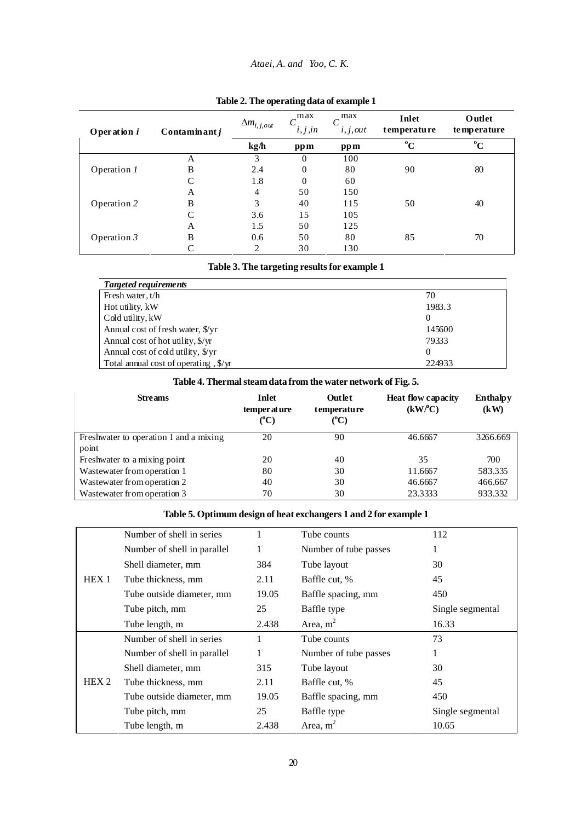## *Ataei, A. and Yoo, C. K.*

| O per ation i     | Contaminant j | $\Delta m_{i,j,out}$     | max<br>i, j, in | max<br>i, j, out | Inlet<br>temperature | Outlet<br>temperature     |
|-------------------|---------------|--------------------------|-----------------|------------------|----------------------|---------------------------|
|                   |               | $\mathbf{kg}/\mathbf{h}$ | ppm             | ppm              | $\rm ^{o}C$          | $\mathbf{O}_{\mathbf{C}}$ |
|                   | А             | 3                        | $\Omega$        | 100              |                      |                           |
| Operation 1       | B             | 2.4                      | $\Omega$        | 80               | 90                   | 80                        |
|                   | C             | 1.8                      | $\Omega$        | 60               |                      |                           |
|                   | А             | 4                        | 50              | 150              |                      |                           |
| Operation 2       | B             | 3                        | 40              | 115              | 50                   | 40                        |
|                   | C             | 3.6                      | 15              | 105              |                      |                           |
|                   | A             | 1.5                      | 50              | 125              |                      |                           |
| Operation $\beta$ | B             | 0.6                      | 50              | 80               | 85                   | 70                        |
|                   | $\mathcal{C}$ | 2                        | 30              | 130              |                      |                           |

### **Table 2. The operating data of example 1**

### **Table 3. The targeting results for example 1**

| Targeted requirements                     |          |
|-------------------------------------------|----------|
| Fresh water, t/h                          | 70       |
| Hot utility, kW                           | 1983.3   |
| Cold utility, kW                          | $\theta$ |
| Annual cost of fresh water, \$/yr         | 145600   |
| Annual cost of hot utility, $\frac{f}{x}$ | 79333    |
| Annual cost of cold utility, \$/yr        | $\theta$ |
| Total annual cost of operating, \$/yr     | 224933   |

| Table 4. Thermal steam data from the water network of Fig. 5. |                                |                                        |                                                  |                         |  |
|---------------------------------------------------------------|--------------------------------|----------------------------------------|--------------------------------------------------|-------------------------|--|
| <b>Streams</b>                                                | Inlet<br>temper at ure<br>(°C) | Outlet<br>temperature<br>$(^{\circ}C)$ | <b>Heat flow capacity</b><br>(kW <sup>o</sup> C) | <b>Enthalpy</b><br>(kW) |  |
| Freshwater to operation 1 and a mixing<br>point               | 20                             | 90                                     | 46.6667                                          | 3266.669                |  |
| Freshwater to a mixing point                                  | 20                             | 40                                     | 35                                               | 700                     |  |
| Wastewater from operation 1                                   | 80                             | 30                                     | 11.6667                                          | 583.335                 |  |
| Wastewater from operation 2                                   | 40                             | 30                                     | 46.6667                                          | 466.667                 |  |
| Wastewater from operation 3                                   | 70                             | 30                                     | 23.3333                                          | 933.332                 |  |

# **Table 5. Optimum design of heat exchangers 1 and 2 for example 1**

|                  | Number of shell in series   |       | Tube counts           | 112              |
|------------------|-----------------------------|-------|-----------------------|------------------|
|                  | Number of shell in parallel |       | Number of tube passes | 1                |
|                  | Shell diameter, mm          | 384   | Tube layout           | 30               |
| HEX <sub>1</sub> | Tube thickness, mm          | 2.11  | Baffle cut, %         | 45               |
|                  | Tube outside diameter, mm   | 19.05 | Baffle spacing, mm    | 450              |
|                  | Tube pitch, mm              | 25    | Baffle type           | Single segmental |
|                  | Tube length, m              | 2.438 | Area, $m2$            | 16.33            |
|                  | Number of shell in series   |       | Tube counts           | 73               |
|                  | Number of shell in parallel |       | Number of tube passes | т.               |
|                  | Shell diameter, mm          | 315   | Tube layout           | 30               |
| HEX <sub>2</sub> | Tube thickness, mm          | 2.11  | Baffle cut, %         | 45               |
|                  | Tube outside diameter, mm   | 19.05 | Baffle spacing, mm    | 450              |
|                  | Tube pitch, mm              | 25    | Baffle type           | Single segmental |
|                  | Tube length, m              | 2.438 | Area, $m2$            | 10.65            |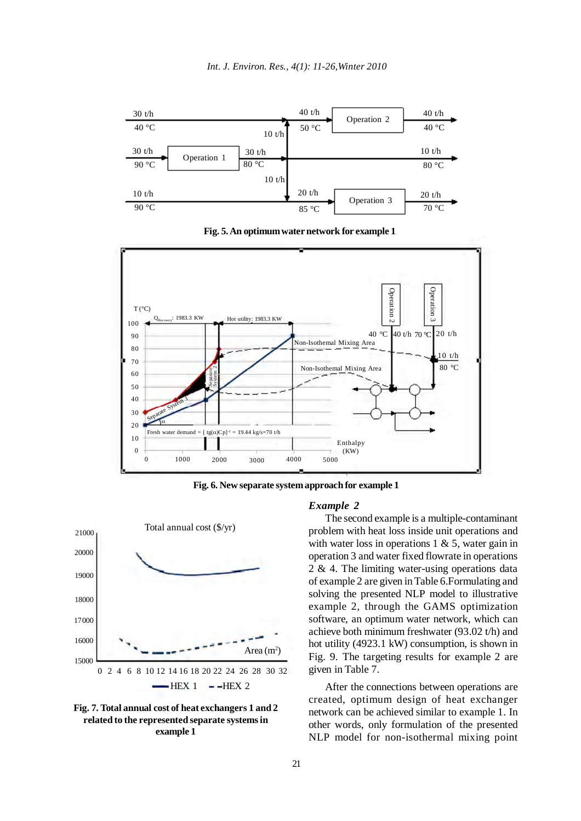

**Fig. 5. An optimum water network for example 1**



**Fig. 6. New separate system approach for example 1**





#### *Example 2*

The second example is a multiple-contaminant problem with heat loss inside unit operations and with water loss in operations  $1 \& 5$ , water gain in operation 3 and water fixed flowrate in operations 2 & 4. The limiting water-using operations data of example 2 are given in Table 6.Formulating and solving the presented NLP model to illustrative example 2, through the GAMS optimization software, an optimum water network, which can achieve both minimum freshwater (93.02 t/h) and hot utility (4923.1 kW) consumption, is shown in Fig. 9. The targeting results for example 2 are given in Table 7.

After the connections between operations are created, optimum design of heat exchanger network can be achieved similar to example 1. In other words, only formulation of the presented NLP model for non-isothermal mixing point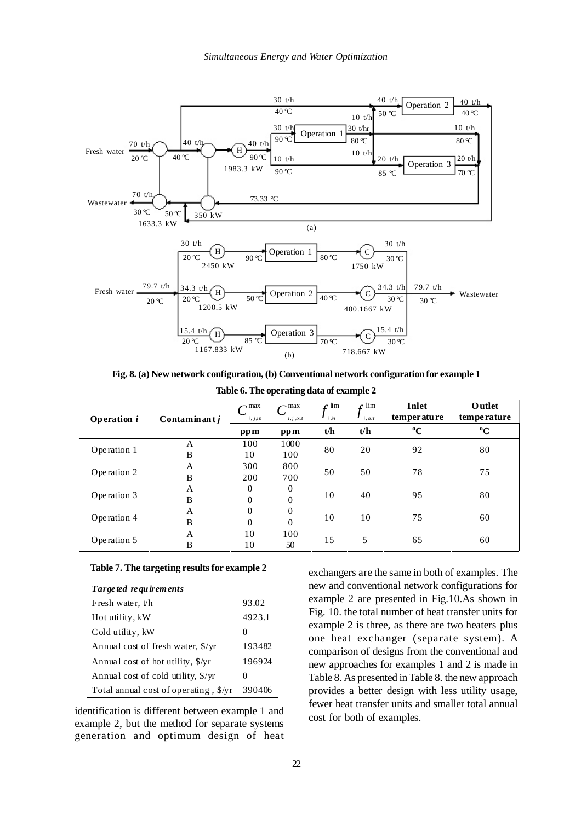

**Fig. 8. (a) New network configuration, (b) Conventional network configuration for example 1**

**Table 6. The operating data of example 2**

| <b>Operation</b> i | Contaminant $j$ | $\sim$ max<br>i, j, in | $\sim$ max<br>i, j, out | $\mathcal{L}$ lim<br>$i$ $jn$ | $\mathcal{C}$ lim<br>i, out | Inlet<br>temperature | Outlet<br>temperature |
|--------------------|-----------------|------------------------|-------------------------|-------------------------------|-----------------------------|----------------------|-----------------------|
|                    |                 | pp m                   | pp m                    | t/h                           | t/h                         | $\rm ^{o}C$          | $\mathbf{C}^0$        |
|                    | А               | 100                    | 1000                    | 80                            |                             |                      |                       |
| Operation 1        | B               | 10                     | 100                     |                               | 20                          | 92                   | 80                    |
|                    | A               | 300                    | 800                     |                               | 50                          | 78                   | 75                    |
| Operation 2        | B               | 200                    | 700                     | 50                            |                             |                      |                       |
|                    | A               | $\mathbf{0}$           | $\overline{0}$          |                               | 40                          | 95                   | 80                    |
| Operation 3        | B               | $\Omega$               | $\Omega$                | 10                            |                             |                      |                       |
|                    | A               | $\theta$               | $\theta$                |                               | 10                          |                      |                       |
| Operation 4        | B               | $\theta$               | $\theta$                | 10                            |                             | 75                   | 60                    |
| Operation 5        | A               | 10                     | 100                     |                               |                             |                      |                       |
|                    | B               | 10                     | 50                      | 15                            | 5                           | 65                   | 60                    |

### **Table 7. The targeting results for example 2**

| Targe ted re quirements                        |              |
|------------------------------------------------|--------------|
| Fresh water, t/h                               | 93.02        |
| Hot utility, kW                                | 4923.1       |
| Cold utility, kW                               |              |
| Annual cost of fresh water, \$/yr              | 193482       |
| Annual cost of hot utility, \$/yr              | 196924       |
| Annual cost of cold utility, $\frac{f}{x}$ /yr | $\mathbf{0}$ |
| Total annual cost of operating, \$/yr          | 390406       |

identification is different between example 1 and example 2, but the method for separate systems generation and optimum design of heat exchangers are the same in both of examples. The new and conventional network configurations for example 2 are presented in Fig.10.As shown in Fig. 10. the total number of heat transfer units for example 2 is three, as there are two heaters plus one heat exchanger (separate system). A comparison of designs from the conventional and new approaches for examples 1 and 2 is made in Table 8. As presented in Table 8. the new approach provides a better design with less utility usage, fewer heat transfer units and smaller total annual cost for both of examples.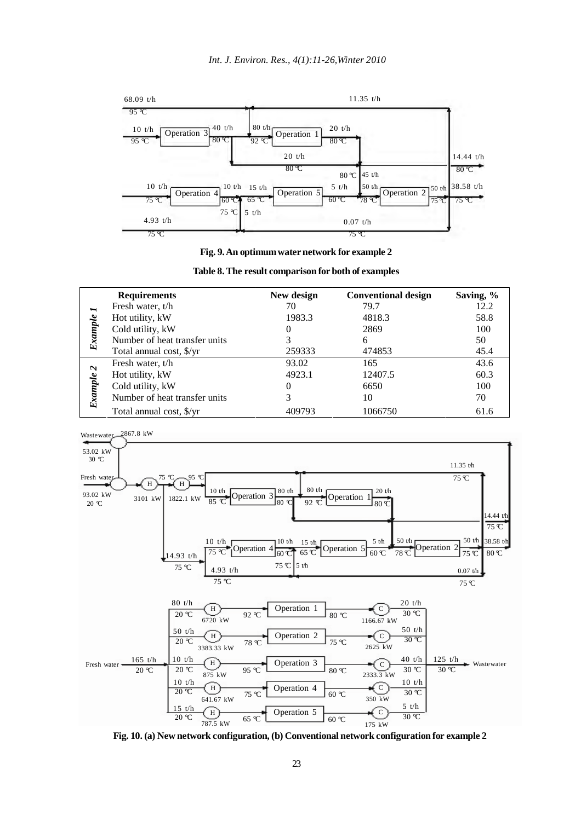

**Fig. 9. An optimum water network for example 2**

|         | <b>Requirements</b>           | New design | <b>Conventional design</b> | Saving, % |
|---------|-------------------------------|------------|----------------------------|-----------|
| ∼       | Fresh water, t/h              | 70         | 79.7                       | 12.2      |
|         | Hot utility, kW               | 1983.3     | 4818.3                     | 58.8      |
|         | Cold utility, kW              | $\Omega$   | 2869                       | 100       |
| Example | Number of heat transfer units | 3          | 6                          | 50        |
|         | Total annual cost, \$/yr      | 259333     | 474853                     | 45.4      |
| $\sim$  | Fresh water, t/h              | 93.02      | 165                        | 43.6      |
|         | Hot utility, kW               | 4923.1     | 12407.5                    | 60.3      |
|         | Cold utility, kW              | $_{0}$     | 6650                       | 100       |
| Example | Number of heat transfer units | 3          | 10                         | 70        |
|         | Total annual cost, \$/yr      | 409793     | 1066750                    | 61.6      |





**Fig. 10. (a) New network configuration, (b) Conventional network configuration for example 2**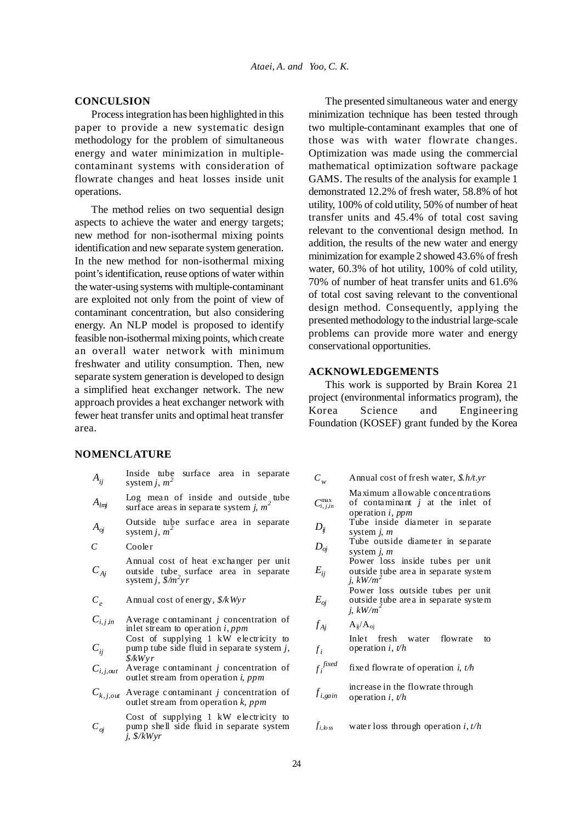# **CONCULSION**

Process integration has been highlighted in this paper to provide a new systematic design methodology for the problem of simultaneous energy and water minimization in multiplecontaminant systems with consideration of flowrate changes and heat losses inside unit operations.

The method relies on two sequential design aspects to achieve the water and energy targets; new method for non-isothermal mixing points identification and new separate system generation. In the new method for non-isothermal mixing point's identification, reuse options of water within the water-using systems with multiple-contaminant are exploited not only from the point of view of contaminant concentration, but also considering energy. An NLP model is proposed to identify feasible non-isothermal mixing points, which create an overall water network with minimum freshwater and utility consumption. Then, new separate system generation is developed to design a simplified heat exchanger network. The new approach provides a heat exchanger network with fewer heat transfer units and optimal heat transfer area.

### **NOMENCLATURE**

| $A_{ij}$      | Inside tube surface area in separate<br>system <i>j</i> , $m^2$                                                     | $C_w$                          | Annual cost of fresh water, $$. h/t.$ yr                                                     |
|---------------|---------------------------------------------------------------------------------------------------------------------|--------------------------------|----------------------------------------------------------------------------------------------|
| $A_{lmj}$     | Log mean of inside and outside, tube<br>surface areas in separate system j, $m2$                                    | $C_{i,j,in}^{\max}$            | Maximum allowable concentration<br>of contaminant $j$ at the inlet of<br>operation $i$ , ppm |
| $A_{oj}$      | Outside tube surface area in separate<br>system <i>j</i> , $m2$                                                     | $D_{\ddot{\hbox{\tiny\it u}}}$ | Tube inside diameter in separat<br>system $i, m$                                             |
| C             | Cooler                                                                                                              | $D_{oi}$                       | Tube outside diameter in separat<br>system $i, m$                                            |
| $C_{Aj}$      | Annual cost of heat exchanger per unit<br>outside tube surface area in separate<br>system j, $\frac{2}{m}$ yr       | $E_{ii}$                       | Power loss inside tubes per un<br>outside tube area in separate syster<br>j, $kW/m^2$        |
| $C_{\rho}$    | Annual cost of energy, $\frac{8}{k}Wyr$                                                                             | $E_{oi}$                       | Power loss outside tubes per un<br>outside tube area in separate syster<br>j, $kW/m^2$       |
| $C_{i,j,in}$  | Average contaminant $j$ concentration of<br>inlet stream to operation <i>i</i> , <i>ppm</i>                         | $f_{Ai}$                       | $A_{ij}/A_{oj}$                                                                              |
| $C_{ii}$      | Cost of supplying 1 kW electricity to<br>pump tube side fluid in separate system j,<br>\$/kWyr                      | $f_i$                          | Inlet fresh water<br>flowrate<br>operation <i>i</i> , $t/h$                                  |
| $C_{i,j,out}$ | Average contaminant $j$ concentration of<br>outlet stream from operation <i>i</i> , <i>ppm</i>                      | $f_i^{\mathit{fixed}}$         | fixed flowrate of operation <i>i</i> , $t/h$                                                 |
| $C_{k,j,out}$ | Average contaminant $j$ concentration of<br>outlet stream from operation $k$ , ppm                                  | $f_{i, gain}$                  | increase in the flowrate through<br>operation i, $t/h$                                       |
| $C_{oj}$      | Cost of supplying 1 kW electricity to<br>pump shell side fluid in separate system<br>j, $\frac{\mathcal{S}}{kW}$ yr | $f_{i,bss}$                    | water loss through operation i, $t/h$                                                        |

The presented simultaneous water and energy minimization technique has been tested through two multiple-contaminant examples that one of those was with water flowrate changes. Optimization was made using the commercial mathematical optimization software package GAMS. The results of the analysis for example 1 demonstrated 12.2% of fresh water, 58.8% of hot utility, 100% of cold utility, 50% of number of heat transfer units and 45.4% of total cost saving relevant to the conventional design method. In addition, the results of the new water and energy minimization for example 2 showed 43.6% of fresh water, 60.3% of hot utility, 100% of cold utility, 70% of number of heat transfer units and 61.6% of total cost saving relevant to the conventional design method. Consequently, applying the presented methodology to the industrial large-scale problems can provide more water and energy conservational opportunities.

### **ACKNOWLEDGEMENTS**

This work is supported by Brain Korea 21 project (environmental informatics program), the Korea Science and Engineering Foundation (KOSEF) grant funded by the Korea

|  | Annual cost of fresh water, $$. h/t.yr$ |  |
|--|-----------------------------------------|--|

- Maximum allowable concentrations of contaminant *j* at the inlet of operation *i*, *ppm*
- Tube inside diameter in separate system *j*, *m*
- Tube outside diameter in separate system *j*, *m*
- $E_{ii}$ Power loss inside tubes per unit outside tube area in separate system *j*, *kW/m<sup>2</sup>*
	- Power loss outside tubes per unit outside tube area in separate system  $i, \, \frac{kW}{m^2}$

$$
f_{Aj} \qquad A_{ij}/A_{oj}
$$

$$
f_i^{fixed}
$$
 fixed flowrate of operation *i*, *t/h*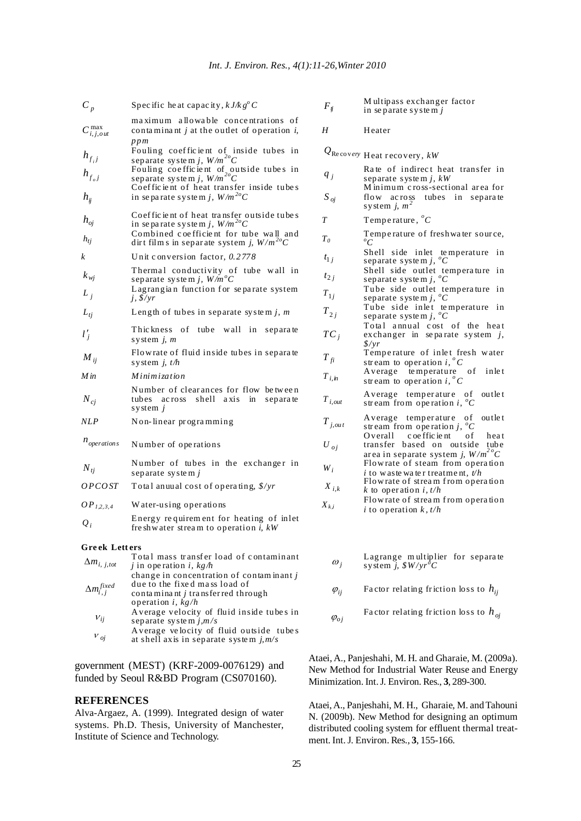| $C_p$                  | Specific heat capacity, $k J / k g^{\circ} C$                                                                             | $F_{\eta}$     | Multipass exchanger factor<br>in separate system j                                                                 |
|------------------------|---------------------------------------------------------------------------------------------------------------------------|----------------|--------------------------------------------------------------------------------------------------------------------|
| $C_{i,j,out}^{\max}$   | maximum allowable concentrations of<br>contaminant <i>j</i> at the outlet of operation <i>i</i> ,<br>ppm                  | H              | Heater                                                                                                             |
| $h_{f_{i}j}$           | Fouling coefficient of inside tubes in<br>separate system j, $W/m^{20}C$                                                  |                | $Q_{\rm Re\,cov\textit{e}ry\textbf{}}$ Heat recovery, kW                                                           |
| $h_{f_oj}$             | Fouling coefficient of outside tubes in<br>separate system j, $W/m^{20}C$<br>Coefficient of heat transfer inside tubes    | $q_j$          | Rate of indirect heat transfer in<br>separate system j, $kW$<br>Minimum cross-sectional area for                   |
| $h_{ii}$               | in separate system j, $W/m^{20}C$                                                                                         | $S_{oj}$       | flow across tubes in separate<br>system <i>i</i> , $m^2$                                                           |
| $h_{oi}$               | Coefficient of heat transfer outside tubes<br>in separate system j, $W/m^{20}C$                                           | T              | Temperature, ${}^{\circ}C$                                                                                         |
| $h_{t}$                | Combined coefficient for tube wall and<br>dirt films in separate system j, $W/m^{20}C$                                    | $T_{\theta}$   | Temperature of freshwater source,<br>$^oC$                                                                         |
| k                      | Unit conversion factor, $0.2778$                                                                                          | $t_{1i}$       | Shell side inlet temperature in<br>separate system j, ${}^{\circ}C$                                                |
| $k_{wj}$               | Thermal conductivity of tube wall in<br>separate system j, $W/m^{\circ}C$                                                 | $t_{2i}$       | Shell side outlet temperature in<br>separate system j, ${}^{\circ}C$                                               |
| $L_i$                  | Lagrangian function for separate system<br>$j, \frac{g}{yr}$                                                              | $T_{1i}$       | Tube side outlet temperature in<br>separate system j, ${}^{\circ}C$                                                |
| $L_{t}$                | Length of tubes in separate system j, $m$                                                                                 | $T_{2j}$       | Tube side inlet temperature in<br>separate system j, ${}^{\circ}C$                                                 |
| $l'_i$                 | Thickness of tube wall in separate<br>system $j$ , $m$                                                                    | $TC_i$         | Total annual cost of the heat<br>exchanger in separate system $j$ ,<br>$\frac{f}{f}$                               |
| $M_{ii}$               | Flowrate of fluid inside tubes in separate<br>system <i>i</i> , $t/h$                                                     | $T_{fi}$       | Temperature of inlet fresh water<br>stream to operation $i, {}^{o}C$                                               |
| M in                   | <i>Minimization</i>                                                                                                       | $T_{i,m}$      | Average temperature of inlet<br>stream to operation i, ${}^{\circ}C$                                               |
| $N_{cj}$               | Number of clearances for flow between<br>tubes across shell axis in<br>separate<br>system $j$                             | $T_{i,out}$    | Average temperature of<br>outlet<br>stream from operation i, ${}^{\circ}C$                                         |
| NLP                    | Non-linear programming                                                                                                    | $T_{j,out}$    | Average temperature of outlet<br>stream from operation j, ${}^{\circ}C$                                            |
| $n_{operations}$       | Number of operations                                                                                                      | $U_{oj}$       | Overall<br>c oe ffic ie nt<br>οf<br>heat<br>transfer based on outside tube<br>area in separate system j, $W/m^2 C$ |
| $N_{ti}$               | Number of tubes in the exchanger in<br>separate system $j$                                                                | $W_i$          | Flowrate of steam from operation<br>i to waste water treatment, $t/h$                                              |
| OPCOST                 | Total anuual cost of operating, \$/yr                                                                                     | $X_{i,k}$      | Flowrate of stream from operation<br>k to operation i, $t/h$                                                       |
| OP <sub>1,2,3,4</sub>  | Water-using operations                                                                                                    | $X_{k,i}$      | Flowrate of stream from operation<br><i>i</i> to operation $k$ , $t/h$                                             |
| $Q_i$                  | Energy requirement for heating of inlet<br>freshwater stream to operation <i>i</i> , $kW$                                 |                |                                                                                                                    |
| <b>Greek Letters</b>   |                                                                                                                           |                |                                                                                                                    |
| $\Delta m_{i, j, tot}$ | Total mass transfer load of contaminant<br>j in operation <i>i</i> , $kg/h$<br>change in concentration of contaminant $j$ | $\omega_i$     | Lagrange multiplier for separate<br>system j, $\frac{g}{v}W/vr^{\circ}C$                                           |
| $\Delta m^{fixed}_{:}$ | due to the fixed mass load of<br>contaminant <i>i</i> transferred through                                                 | $\varphi_{ii}$ | Factor relating friction loss to $h_{ii}$                                                                          |

M ultipass exchanger factor in se parate syste m *j*

- Rate of indirect heat transfer in separate syste m *j, kW*
- M inimum c ross-sectional ar ea for flow ac ross tubes in separa te system  $j$ ,  $m^2$
- 
- $T_0$  **The film s**  $T_0$  **Temperature of freshwater source,**  $\overline{C}$
- Shell side inlet temperature in separate system *j*, <sup>*o*</sup>C
- Shell side outlet tempera ture in separate syste m *j, <sup>o</sup> C*
- Tube side outlet tempera ture in separate syste m *j, <sup>o</sup> C*
- Tube side inlet temperature in separate system *j*,  $^oC$
- Total annual cost of the heat exchanger in se pa rate system *j*, *\$/yr*
- Temperature of inlet fresh water stream to operation  $i, {}^{\circ}C$
- A verage temperature of inlet stream to operation  $i, {}^{\circ}C$
- *T <sup>i</sup>*,*out* Average temperature of outlet stream from operation *i*,  $^{0}C$
- Overall coefficient of heat
- transfer based on outside tube ar ea in separate system *j, W /m2 oC* Flow rate of steam from opera tion
- *i* to w aste wa te r treatme nt, *t/h*
- Flow rate of stream from operation *k* to oper ation *i*, *t/h*
- Flow rate of stream from operation *i* to operation  $k, t/h$ 
	- Lagrange m ultiplier for separa te system  $\tilde{j}$ ,  $\frac{g}{g}W/yr^{\delta}C$
	- $\varphi_{ii}$  Factor relating friction loss to  $h_{ii}$
- separate system  $j,m/s$   $\varphi_{oj}$ Factor relating friction loss to  $h_{oi}$

Ataei, A., Panjeshahi, M. H. and Gharaie, M. (2009a). New Method for Industrial Water Reuse and Energy Minimization. Int. J. Environ. Res., **3**, 289-300.

Ataei, A., Panjeshahi, M. H., Gharaie, M. and Tahouni N. (2009b). New Method for designing an optimum distributed cooling system for effluent thermal treatment. Int. J. Environ. Res., **3**, 155-166.

government (MEST) (KRF-2009-0076129) and funded by Seoul R&BD Program (CS070160).

operation *i*, *kg/h*

conta mina nt *j* tra nsfer red through

A verage velocity of fluid inside tube s in

A verage ve locity of fluid outside tube s at shell axis in separate syste m *j,m/s*

### **REFERENCES**

 $v_{ij}$ 

<sup>ν</sup> *oj*

Alva-Argaez, A. (1999). Integrated design of water systems. Ph.D. Thesis, University of Manchester, Institute of Science and Technology.